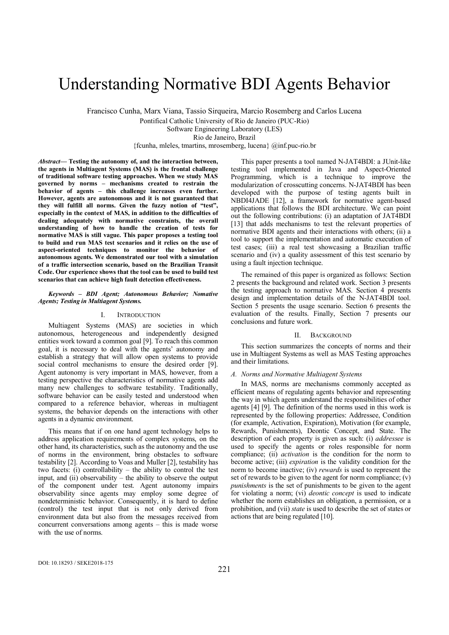# Understanding Normative BDI Agents Behavior

Francisco Cunha, Marx Viana, Tassio Sirqueira, Marcio Rosemberg and Carlos Lucena

Pontifical Catholic University of Rio de Janeiro (PUC-Rio)

Software Engineering Laboratory (LES)

Rio de Janeiro, Brazil

{fcunha, mleles, tmartins, mrosemberg, lucena} @inf.puc-rio.br

*Abstract***— Testing the autonomy of, and the interaction between, the agents in Multiagent Systems (MAS) is the frontal challenge of traditional software testing approaches. When we study MAS governed by norms – mechanisms created to restrain the behavior of agents – this challenge increases even further. However, agents are autonomous and it is not guaranteed that they will fulfill all norms. Given the fuzzy notion of "test", especially in the context of MAS, in addition to the difficulties of dealing adequately with normative constraints, the overall understanding of how to handle the creation of tests for normative MAS is still vague. This paper proposes a testing tool to build and run MAS test scenarios and it relies on the use of aspect-oriented techniques to monitor the behavior of autonomous agents. We demonstrated our tool with a simulation of a traffic intersection scenario, based on the Brazilian Transit Code. Our experience shows that the tool can be used to build test scenarios that can achieve high fault detection effectiveness.**

#### *Keywords – BDI Agent; Autonomous Behavior; Nomative Agents; Testing in Multiagent Systems.*

## I. INTRODUCTION

Multiagent Systems (MAS) are societies in which autonomous, heterogeneous and independently designed entities work toward a common goal [9]. To reach this common goal, it is necessary to deal with the agents' autonomy and establish a strategy that will allow open systems to provide social control mechanisms to ensure the desired order [9]. Agent autonomy is very important in MAS, however, from a testing perspective the characteristics of normative agents add many new challenges to software testability. Traditionally, software behavior can be easily tested and understood when compared to a reference behavior, whereas in multiagent systems, the behavior depends on the interactions with other agents in a dynamic environment.

This means that if on one hand agent technology helps to address application requirements of complex systems, on the other hand, its characteristics, such as the autonomy and the use of norms in the environment, bring obstacles to software testability [2]. According to Voas and Muller [2], testability has two facets: (i) controllability – the ability to control the test input, and (ii) observability – the ability to observe the output of the component under test. Agent autonomy impairs observability since agents may employ some degree of nondeterministic behavior. Consequently, it is hard to define (control) the test input that is not only derived from environment data but also from the messages received from concurrent conversations among agents – this is made worse with the use of norms.

This paper presents a tool named N-JAT4BDI: a JUnit-like testing tool implemented in Java and Aspect-Oriented Programming, which is a technique to improve the modularization of crosscutting concerns. N-JAT4BDI has been developed with the purpose of testing agents built in NBDI4JADE [12], a framework for normative agent-based applications that follows the BDI architecture. We can point out the following contributions: (i) an adaptation of JAT4BDI [13] that adds mechanisms to test the relevant properties of normative BDI agents and their interactions with others; (ii) a tool to support the implementation and automatic execution of test cases; (iii) a real test showcasing a Brazilian traffic scenario and (iv) a quality assessment of this test scenario by using a fault injection technique.

The remained of this paper is organized as follows: Section 2 presents the background and related work. Section 3 presents the testing approach to normative MAS. Section 4 presents design and implementation details of the N-JAT4BDI tool. Section 5 presents the usage scenario. Section 6 presents the evaluation of the results. Finally, Section 7 presents our conclusions and future work.

#### II. BACKGROUND

This section summarizes the concepts of norms and their use in Multiagent Systems as well as MAS Testing approaches and their limitations.

# *A. Norms and Normative Multiagent Systems*

In MAS, norms are mechanisms commonly accepted as efficient means of regulating agents behavior and representing the way in which agents understand the responsibilities of other agents [4] [9]. The definition of the norms used in this work is represented by the following properties: Addressee, Condition (for example, Activation, Expiration), Motivation (for example, Rewards, Punishments), Deontic Concept, and State. The description of each property is given as such: (i) *addressee* is used to specify the agents or roles responsible for norm compliance; (ii) *activation* is the condition for the norm to become active; (iii) *expiration* is the validity condition for the norm to become inactive; (iv) *rewards* is used to represent the set of rewards to be given to the agent for norm compliance; (v) *punishments* is the set of punishments to be given to the agent for violating a norm; (vi) *deontic concept* is used to indicate whether the norm establishes an obligation, a permission, or a prohibition, and (vii) *state* is used to describe the set of states or actions that are being regulated [10].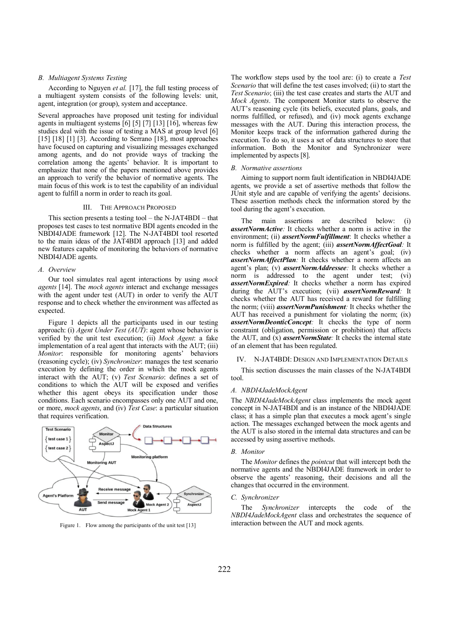# *B. Multiagent Systems Testing*

According to Nguyen *et al.* [17], the full testing process of a multiagent system consists of the following levels: unit, agent, integration (or group), system and acceptance.

Several approaches have proposed unit testing for individual agents in multiagent systems  $\left[6\right]$   $\left[5\right]$   $\left[7\right]$   $\left[13\right]$   $\left[16\right]$ , whereas few studies deal with the issue of testing a MAS at group level [6] [15] [18] [1] [3]. According to Serrano [18], most approaches have focused on capturing and visualizing messages exchanged among agents, and do not provide ways of tracking the correlation among the agents' behavior. It is important to emphasize that none of the papers mentioned above provides an approach to verify the behavior of normative agents. The main focus of this work is to test the capability of an individual agent to fulfill a norm in order to reach its goal.

#### III. THE APPROACH PROPOSED

This section presents a testing tool – the N-JAT4BDI – that proposes test cases to test normative BDI agents encoded in the NBDI4JADE framework [12]. The N-JAT4BDI tool resorted to the main ideas of the JAT4BDI approach [13] and added new features capable of monitoring the behaviors of normative NBDI4JADE agents.

#### *A. Overview*

Our tool simulates real agent interactions by using *mock agents* [14]. The *mock agents* interact and exchange messages with the agent under test (AUT) in order to verify the AUT response and to check whether the environment was affected as expected.

Figure 1 depicts all the participants used in our testing approach: (i) *Agent Under Test (AUT)*: agent whose behavior is verified by the unit test execution; (ii) *Mock Agent*: a fake implementation of a real agent that interacts with the AUT; (iii) *Monitor*: responsible for monitoring agents' behaviors (reasoning cycle); (iv) *Synchronizer*: manages the test scenario execution by defining the order in which the mock agents interact with the AUT; (v) *Test Scenario*: defines a set of conditions to which the AUT will be exposed and verifies whether this agent obeys its specification under those conditions. Each scenario encompasses only one AUT and one, or more, *mock agents*, and (iv) *Test Case*: a particular situation that requires verification.



Figure 1. Flow among the participants of the unit test [13]

The workflow steps used by the tool are: (i) to create a *Test Scenario* that will define the test cases involved; (ii) to start the *Test Scenario*; (iii) the test case creates and starts the AUT and *Mock Agents*. The component Monitor starts to observe the AUT's reasoning cycle (its beliefs, executed plans, goals, and norms fulfilled, or refused), and (iv) mock agents exchange messages with the AUT. During this interaction process, the Monitor keeps track of the information gathered during the execution. To do so, it uses a set of data structures to store that information. Both the Monitor and Synchronizer were implemented by aspects [8].

#### *B. Normative assertions*

Aiming to support norm fault identification in NBDI4JADE agents, we provide a set of assertive methods that follow the JUnit style and are capable of verifying the agents' decisions. These assertion methods check the information stored by the tool during the agent's execution.

The main assertions are described below: (i) *assertNormActive:* It checks whether a norm is active in the environment; (ii) *assertNormFulfillment*: It checks whether a norm is fulfilled by the agent; (iii) *assertNormAffectGoal:* It checks whether a norm affects an agent's goal; (iv) *assertNormAffectPlan:* It checks whether a norm affects an agent's plan; (v) *assertNormAddressee:* It checks whether a norm is addressed to the agent under test; (vi) *assertNormExpired:* It checks whether a norm has expired during the AUT's execution; (vii) *assertNormReward:* It checks whether the AUT has received a reward for fulfilling the norm; (viii) *assertNormPunishment:* It checks whether the AUT has received a punishment for violating the norm; (ix) *assertNormDeonticConcept:* It checks the type of norm constraint (obligation, permission or prohibition) that affects the AUT, and (x) *assertNormState:* It checks the internal state of an element that has been regulated.

# N-JAT4BDI: DESIGN AND IMPLEMENTATION DETAILS

This section discusses the main classes of the N-JAT4BDI tool.

#### *A. NBDI4JadeMockAgent*

The *NBDI4JadeMockAgent* class implements the mock agent concept in N-JAT4BDI and is an instance of the NBDI4JADE class; it has a simple plan that executes a mock agent's single action. The messages exchanged between the mock agents and the AUT is also stored in the internal data structures and can be accessed by using assertive methods.

# *B. Monitor*

The *Monitor* defines the *pointcut* that will intercept both the normative agents and the NBDI4JADE framework in order to observe the agents' reasoning, their decisions and all the changes that occurred in the environment.

## *C. Synchronizer*

The *Synchronizer* intercepts the code of the *NBDI4JadeMockAgent* class and orchestrates the sequence of interaction between the AUT and mock agents.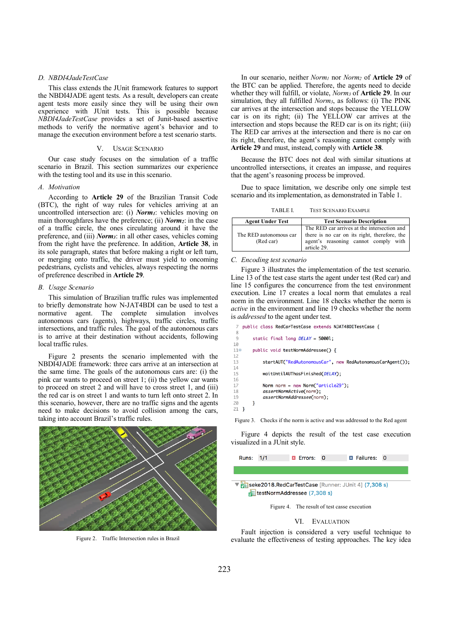# *D. NBDI4JadeTestCase*

This class extends the JUnit framework features to support the NBDI4JADE agent tests. As a result, developers can create agent tests more easily since they will be using their own experience with JUnit tests. This is possible because *NBDI4JadeTestCase* provides a set of Junit-based assertive methods to verify the normative agent's behavior and to manage the execution environment before a test scenario starts.

# V. USAGE SCENARIO

Our case study focuses on the simulation of a traffic scenario in Brazil. This section summarizes our experience with the testing tool and its use in this scenario.

## *A. Motivation*

According to **Article 29** of the Brazilian Transit Code (BTC), the right of way rules for vehicles arriving at an uncontrolled intersection are: (i) *Norm<sub>1</sub>*: vehicles moving on main thoroughfares have the preference; (ii) *Norm2*: in the case of a traffic circle, the ones circulating around it have the preference, and (iii) *Norm3*: in all other cases, vehicles coming from the right have the preference. In addition, **Article 38**, in its sole paragraph, states that before making a right or left turn, or merging onto traffic, the driver must yield to oncoming pedestrians, cyclists and vehicles, always respecting the norms of preference described in **Article 29**.

## *B. Usage Scenario*

This simulation of Brazilian traffic rules was implemented to briefly demonstrate how N-JAT4BDI can be used to test a normative agent. The complete simulation involves autonomous cars (agents), highways, traffic circles, traffic intersections, and traffic rules. The goal of the autonomous cars is to arrive at their destination without accidents, following local traffic rules.

Figure 2 presents the scenario implemented with the NBDI4JADE framework: three cars arrive at an intersection at the same time. The goals of the autonomous cars are: (i) the pink car wants to proceed on street 1; (ii) the yellow car wants to proceed on street 2 and will have to cross street 1, and (iii) the red car is on street 1 and wants to turn left onto street 2. In this scenario, however, there are no traffic signs and the agents need to make decisions to avoid collision among the cars, taking into account Brazil's traffic rules.



Figure 2. Traffic Intersection rules in Brazil

In our scenario, neither *Norm1* nor *Norm2* of **Article 29** of the BTC can be applied. Therefore, the agents need to decide whether they will fulfill, or violate, *Norm3* of **Article 29**. In our simulation, they all fulfilled *Norm3*, as follows: (i) The PINK car arrives at the intersection and stops because the YELLOW car is on its right; (ii) The YELLOW car arrives at the intersection and stops because the RED car is on its right; (iii) The RED car arrives at the intersection and there is no car on its right, therefore, the agent's reasoning cannot comply with **Article 29** and must, instead, comply with **Article 38**.

Because the BTC does not deal with similar situations at uncontrolled intersections, it creates an impasse, and requires that the agent's reasoning process be improved.

Due to space limitation, we describe only one simple test scenario and its implementation, as demonstrated in Table 1.

TABLE I. TEST SCENARIO EXAMPLE

| <b>Agent Under Test</b>             | <b>Test Scenario Description</b>                                                                                                                   |
|-------------------------------------|----------------------------------------------------------------------------------------------------------------------------------------------------|
| The RED autonomous car<br>(Red car) | The RED car arrives at the intersection and<br>there is no car on its right, therefore, the<br>agent's reasoning cannot comply with<br>article 29. |

# *C. Encoding test scenario*

 $\overline{1}$  $\mathbf{1}$ 

Figure 3 illustrates the implementation of the test scenario. Line 13 of the test case starts the agent under test (Red car) and line 15 configures the concurrence from the test environment execution. Line 17 creates a local norm that emulates a real norm in the environment. Line 18 checks whether the norm is *active* in the environment and line 19 checks whether the norm is *addressed* to the agent under test.

|          |     | public class RedCarTestCase extends NJAT4BDITestCase {     |
|----------|-----|------------------------------------------------------------|
|          |     | static final long $DELAY = 50001$ ;                        |
| $\Theta$ |     | public void testNormAddressee() {                          |
|          |     |                                                            |
| 3        |     | startAUT("RedAutonomousCar", new RedAutonomousCarAgent()); |
| 5        |     | waitUntilAUThasFinished(DELAY);                            |
|          |     | Norm norm = new Norm("article29");                         |
| ß        |     | assertNormActive(norm);<br>assertNormAddressee(norm);      |
|          | 1 } |                                                            |
|          |     |                                                            |

Figure 3. Checks if the norm is active and was addressed to the Red agent

Figure 4 depicts the result of the test case execution visualized in a JUnit style.

| Runs: 1/1                                                   |  | <b>x</b> Errors: 0 |  | <b>Ex Failures: 0</b> |  |  |  |
|-------------------------------------------------------------|--|--------------------|--|-----------------------|--|--|--|
|                                                             |  |                    |  |                       |  |  |  |
| ▼ Fall seke2018. RedCarTestCase [Runner: JUnit 4] (7,308 s) |  |                    |  |                       |  |  |  |

testNormAddressee (7,308 s)

Figure 4. The result of test casse execution

## VI. EVALUATION

Fault injection is considered a very useful technique to evaluate the effectiveness of testing approaches. The key idea